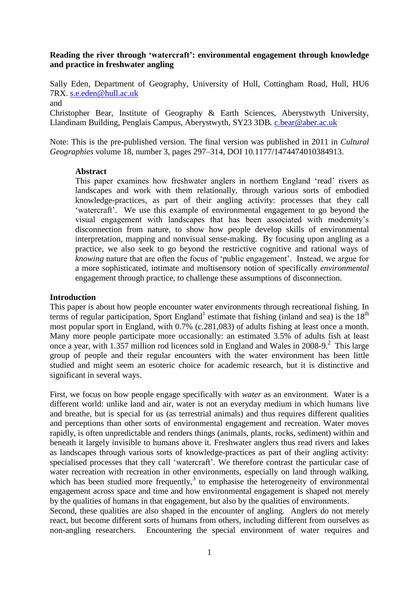## **Reading the river through 'watercraft': environmental engagement through knowledge and practice in freshwater angling**

Sally Eden, Department of Geography, University of Hull, Cottingham Road, Hull, HU6 7RX. [s.e.eden@hull.ac.uk](mailto:s.e.eden@hull.ac.uk)

and

Christopher Bear, Institute of Geography & Earth Sciences, Aberystwyth University, Llandinam Building, Penglais Campus, Aberystwyth, SY23 3DB. [c.bear@aber.ac.uk](mailto:c.bear@aber.ac.uk)

Note: This is the pre-published version. The final version was published in 2011 in *Cultural Geographies* volume 18, number 3, pages 297–314, DOI 10.1177/1474474010384913.

### **Abstract**

This paper examines how freshwater anglers in northern England "read" rivers as landscapes and work with them relationally, through various sorts of embodied knowledge-practices, as part of their angling activity: processes that they call 'watercraft'. We use this example of environmental engagement to go beyond the visual engagement with landscapes that has been associated with modernity"s disconnection from nature, to show how people develop skills of environmental interpretation, mapping and nonvisual sense-making. By focusing upon angling as a practice, we also seek to go beyond the restrictive cognitive and rational ways of *knowing* nature that are often the focus of 'public engagement'. Instead, we argue for a more sophisticated, intimate and multisensory notion of specifically *environmental* engagement through practice, to challenge these assumptions of disconnection.

## **Introduction**

This paper is about how people encounter water environments through recreational fishing. In terms of regular participation, Sport England<sup>1</sup> estimate that fishing (inland and sea) is the  $18<sup>th</sup>$ most popular sport in England, with 0.7% (c.281,083) of adults fishing at least once a month. Many more people participate more occasionally: an estimated 3.5% of adults fish at least once a year, with 1.357 million rod licences sold in England and Wales in 2008-9. 2 This large group of people and their regular encounters with the water environment has been little studied and might seem an esoteric choice for academic research, but it is distinctive and significant in several ways.

First, we focus on how people engage specifically with *water* as an environment. Water is a different world: unlike land and air, water is not an everyday medium in which humans live and breathe, but is special for us (as terrestrial animals) and thus requires different qualities and perceptions than other sorts of environmental engagement and recreation. Water moves rapidly, is often unpredictable and renders things (animals, plants, rocks, sediment) within and beneath it largely invisible to humans above it. Freshwater anglers thus read rivers and lakes as landscapes through various sorts of knowledge-practices as part of their angling activity: specialised processes that they call 'watercraft'. We therefore contrast the particular case of water recreation with recreation in other environments, especially on land through walking, which has been studied more frequently, $3$  to emphasise the heterogeneity of environmental engagement across space and time and how environmental engagement is shaped not merely by the qualities of humans in that engagement, but also by the qualities of environments.

Second, these qualities are also shaped in the encounter of angling. Anglers do not merely react, but become different sorts of humans from others, including different from ourselves as non-angling researchers. Encountering the special environment of water requires and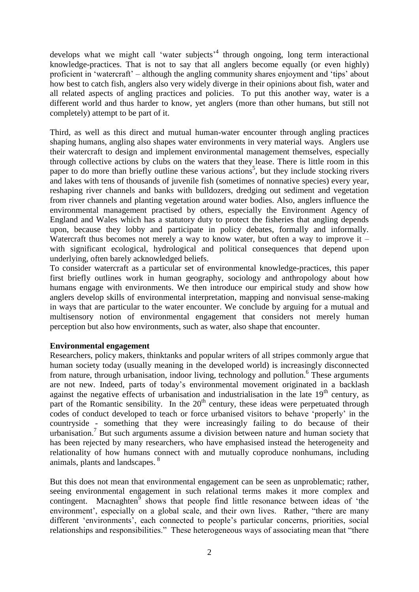develops what we might call 'water subjects<sup>,4</sup> through ongoing, long term interactional knowledge-practices. That is not to say that all anglers become equally (or even highly) proficient in "watercraft" – although the angling community shares enjoyment and "tips" about how best to catch fish, anglers also very widely diverge in their opinions about fish, water and all related aspects of angling practices and policies. To put this another way, water is a different world and thus harder to know, yet anglers (more than other humans, but still not completely) attempt to be part of it.

Third, as well as this direct and mutual human-water encounter through angling practices shaping humans, angling also shapes water environments in very material ways. Anglers use their watercraft to design and implement environmental management themselves, especially through collective actions by clubs on the waters that they lease. There is little room in this paper to do more than briefly outline these various actions<sup>5</sup>, but they include stocking rivers and lakes with tens of thousands of juvenile fish (sometimes of nonnative species) every year, reshaping river channels and banks with bulldozers, dredging out sediment and vegetation from river channels and planting vegetation around water bodies. Also, anglers influence the environmental management practised by others, especially the Environment Agency of England and Wales which has a statutory duty to protect the fisheries that angling depends upon, because they lobby and participate in policy debates, formally and informally. Watercraft thus becomes not merely a way to know water, but often a way to improve it  $$ with significant ecological, hydrological and political consequences that depend upon underlying, often barely acknowledged beliefs.

To consider watercraft as a particular set of environmental knowledge-practices, this paper first briefly outlines work in human geography, sociology and anthropology about how humans engage with environments. We then introduce our empirical study and show how anglers develop skills of environmental interpretation, mapping and nonvisual sense-making in ways that are particular to the water encounter. We conclude by arguing for a mutual and multisensory notion of environmental engagement that considers not merely human perception but also how environments, such as water, also shape that encounter.

#### **Environmental engagement**

Researchers, policy makers, thinktanks and popular writers of all stripes commonly argue that human society today (usually meaning in the developed world) is increasingly disconnected from nature, through urbanisation, indoor living, technology and pollution.<sup>6</sup> These arguments are not new. Indeed, parts of today"s environmental movement originated in a backlash against the negative effects of urbanisation and industrialisation in the late  $19<sup>th</sup>$  century, as part of the Romantic sensibility. In the  $20<sup>th</sup>$  century, these ideas were perpetuated through codes of conduct developed to teach or force urbanised visitors to behave "properly" in the countryside - something that they were increasingly failing to do because of their urbanisation. <sup>7</sup> But such arguments assume a division between nature and human society that has been rejected by many researchers, who have emphasised instead the heterogeneity and relationality of how humans connect with and mutually coproduce nonhumans, including animals, plants and landscapes.<sup>8</sup>

But this does not mean that environmental engagement can be seen as unproblematic; rather, seeing environmental engagement in such relational terms makes it more complex and contingent. Macnaghten  $\frac{3}{9}$  shows that people find little resonance between ideas of 'the environment', especially on a global scale, and their own lives. Rather, "there are many different 'environments', each connected to people's particular concerns, priorities, social relationships and responsibilities." These heterogeneous ways of associating mean that "there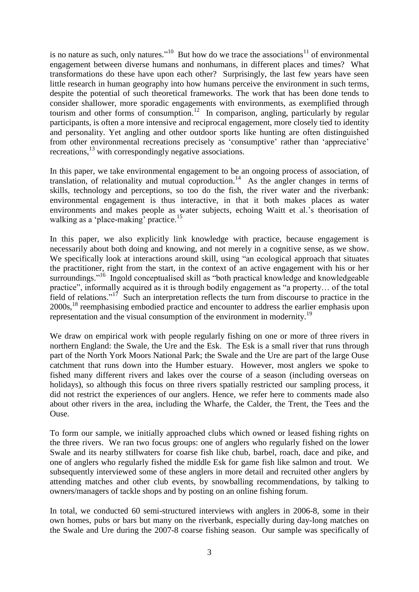is no nature as such, only natures."<sup>10</sup> But how do we trace the associations<sup>11</sup> of environmental engagement between diverse humans and nonhumans, in different places and times? What transformations do these have upon each other? Surprisingly, the last few years have seen little research in human geography into how humans perceive the environment in such terms, despite the potential of such theoretical frameworks. The work that has been done tends to consider shallower, more sporadic engagements with environments, as exemplified through tourism and other forms of consumption.<sup>12</sup> In comparison, angling, particularly by regular participants, is often a more intensive and reciprocal engagement, more closely tied to identity and personality. Yet angling and other outdoor sports like hunting are often distinguished from other environmental recreations precisely as 'consumptive' rather than 'appreciative' recreations,<sup>13</sup> with correspondingly negative associations.

In this paper, we take environmental engagement to be an ongoing process of association, of translation, of relationality and mutual coproduction.<sup>14</sup> As the angler changes in terms of skills, technology and perceptions, so too do the fish, the river water and the riverbank: environmental engagement is thus interactive, in that it both makes places as water environments and makes people as water subjects, echoing Waitt et al.'s theorisation of walking as a 'place-making' practice.<sup>15</sup>

In this paper, we also explicitly link knowledge with practice, because engagement is necessarily about both doing and knowing, and not merely in a cognitive sense, as we show. We specifically look at interactions around skill, using "an ecological approach that situates the practitioner, right from the start, in the context of an active engagement with his or her surroundings."<sup>16</sup> Ingold conceptualised skill as "both practical knowledge and knowledgeable practice", informally acquired as it is through bodily engagement as "a property… of the total field of relations."<sup>17</sup> Such an interpretation reflects the turn from discourse to practice in the 2000s,<sup>18</sup> reemphasising embodied practice and encounter to address the earlier emphasis upon representation and the visual consumption of the environment in modernity.<sup>19</sup>

We draw on empirical work with people regularly fishing on one or more of three rivers in northern England: the Swale, the Ure and the Esk. The Esk is a small river that runs through part of the North York Moors National Park; the Swale and the Ure are part of the large Ouse catchment that runs down into the Humber estuary. However, most anglers we spoke to fished many different rivers and lakes over the course of a season (including overseas on holidays), so although this focus on three rivers spatially restricted our sampling process, it did not restrict the experiences of our anglers. Hence, we refer here to comments made also about other rivers in the area, including the Wharfe, the Calder, the Trent, the Tees and the Ouse.

To form our sample, we initially approached clubs which owned or leased fishing rights on the three rivers. We ran two focus groups: one of anglers who regularly fished on the lower Swale and its nearby stillwaters for coarse fish like chub, barbel, roach, dace and pike, and one of anglers who regularly fished the middle Esk for game fish like salmon and trout. We subsequently interviewed some of these anglers in more detail and recruited other anglers by attending matches and other club events, by snowballing recommendations, by talking to owners/managers of tackle shops and by posting on an online fishing forum.

In total, we conducted 60 semi-structured interviews with anglers in 2006-8, some in their own homes, pubs or bars but many on the riverbank, especially during day-long matches on the Swale and Ure during the 2007-8 coarse fishing season. Our sample was specifically of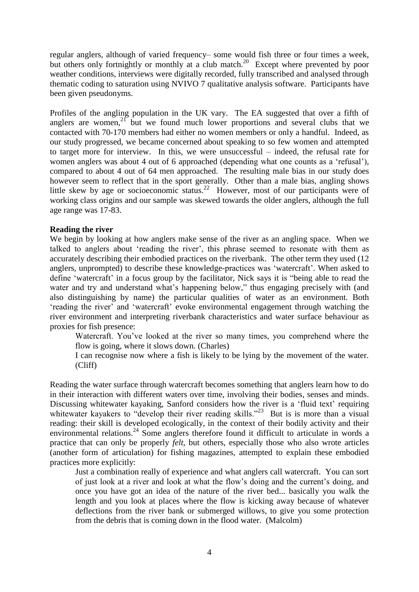regular anglers, although of varied frequency– some would fish three or four times a week, but others only fortnightly or monthly at a club match.<sup>20</sup> Except where prevented by poor weather conditions, interviews were digitally recorded, fully transcribed and analysed through thematic coding to saturation using NVIVO 7 qualitative analysis software. Participants have been given pseudonyms.

Profiles of the angling population in the UK vary. The EA suggested that over a fifth of anglers are women, $2^{\frac{1}{2}}$  but we found much lower proportions and several clubs that we contacted with 70-170 members had either no women members or only a handful. Indeed, as our study progressed, we became concerned about speaking to so few women and attempted to target more for interview. In this, we were unsuccessful – indeed, the refusal rate for women anglers was about 4 out of 6 approached (depending what one counts as a "refusal"), compared to about 4 out of 64 men approached. The resulting male bias in our study does however seem to reflect that in the sport generally. Other than a male bias, angling shows little skew by age or socioeconomic status.<sup>22</sup> However, most of our participants were of working class origins and our sample was skewed towards the older anglers, although the full age range was 17-83.

#### **Reading the river**

We begin by looking at how anglers make sense of the river as an angling space. When we talked to anglers about "reading the river", this phrase seemed to resonate with them as accurately describing their embodied practices on the riverbank. The other term they used (12 anglers, unprompted) to describe these knowledge-practices was "watercraft". When asked to define 'watercraft' in a focus group by the facilitator, Nick says it is "being able to read the water and try and understand what"s happening below," thus engaging precisely with (and also distinguishing by name) the particular qualities of water as an environment. Both "reading the river" and "watercraft" evoke environmental engagement through watching the river environment and interpreting riverbank characteristics and water surface behaviour as proxies for fish presence:

Watercraft. You"ve looked at the river so many times, you comprehend where the flow is going, where it slows down. (Charles)

I can recognise now where a fish is likely to be lying by the movement of the water. (Cliff)

Reading the water surface through watercraft becomes something that anglers learn how to do in their interaction with different waters over time, involving their bodies, senses and minds. Discussing whitewater kayaking, Sanford considers how the river is a 'fluid text' requiring whitewater kayakers to "develop their river reading skills."<sup>23</sup> But is is more than a visual reading: their skill is developed ecologically, in the context of their bodily activity and their environmental relations.<sup>24</sup> Some anglers therefore found it difficult to articulate in words a practice that can only be properly *felt*, but others, especially those who also wrote articles (another form of articulation) for fishing magazines, attempted to explain these embodied practices more explicitly:

Just a combination really of experience and what anglers call watercraft. You can sort of just look at a river and look at what the flow"s doing and the current"s doing, and once you have got an idea of the nature of the river bed... basically you walk the length and you look at places where the flow is kicking away because of whatever deflections from the river bank or submerged willows, to give you some protection from the debris that is coming down in the flood water. (Malcolm)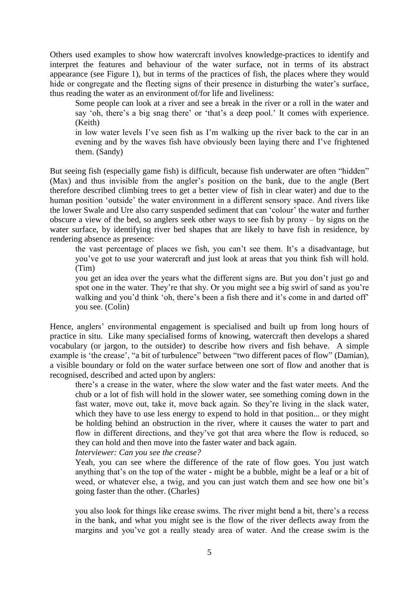Others used examples to show how watercraft involves knowledge-practices to identify and interpret the features and behaviour of the water surface, not in terms of its abstract appearance (see Figure 1), but in terms of the practices of fish, the places where they would hide or congregate and the fleeting signs of their presence in disturbing the water's surface, thus reading the water as an environment of/for life and liveliness:

Some people can look at a river and see a break in the river or a roll in the water and say 'oh, there's a big snag there' or 'that's a deep pool.' It comes with experience. (Keith)

in low water levels I"ve seen fish as I"m walking up the river back to the car in an evening and by the waves fish have obviously been laying there and I"ve frightened them. (Sandy)

But seeing fish (especially game fish) is difficult, because fish underwater are often "hidden" (Max) and thus invisible from the angler's position on the bank, due to the angle (Bert therefore described climbing trees to get a better view of fish in clear water) and due to the human position "outside" the water environment in a different sensory space. And rivers like the lower Swale and Ure also carry suspended sediment that can "colour" the water and further obscure a view of the bed, so anglers seek other ways to see fish by proxy – by signs on the water surface, by identifying river bed shapes that are likely to have fish in residence, by rendering absence as presence:

the vast percentage of places we fish, you can't see them. It's a disadvantage, but you"ve got to use your watercraft and just look at areas that you think fish will hold. (Tim)

you get an idea over the years what the different signs are. But you don"t just go and spot one in the water. They're that shy. Or you might see a big swirl of sand as you're walking and you'd think 'oh, there's been a fish there and it's come in and darted off' you see. (Colin)

Hence, anglers' environmental engagement is specialised and built up from long hours of practice in situ. Like many specialised forms of knowing, watercraft then develops a shared vocabulary (or jargon, to the outsider) to describe how rivers and fish behave. A simple example is 'the crease', "a bit of turbulence" between "two different paces of flow" (Damian), a visible boundary or fold on the water surface between one sort of flow and another that is recognised, described and acted upon by anglers:

there"s a crease in the water, where the slow water and the fast water meets. And the chub or a lot of fish will hold in the slower water, see something coming down in the fast water, move out, take it, move back again. So they"re living in the slack water, which they have to use less energy to expend to hold in that position... or they might be holding behind an obstruction in the river, where it causes the water to part and flow in different directions, and they"ve got that area where the flow is reduced, so they can hold and then move into the faster water and back again.

*Interviewer: Can you see the crease?*

Yeah, you can see where the difference of the rate of flow goes. You just watch anything that's on the top of the water - might be a bubble, might be a leaf or a bit of weed, or whatever else, a twig, and you can just watch them and see how one bit"s going faster than the other. (Charles)

you also look for things like crease swims. The river might bend a bit, there"s a recess in the bank, and what you might see is the flow of the river deflects away from the margins and you"ve got a really steady area of water. And the crease swim is the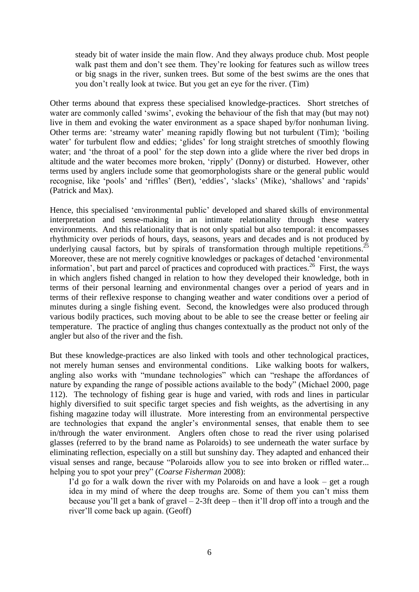steady bit of water inside the main flow. And they always produce chub. Most people walk past them and don't see them. They're looking for features such as willow trees or big snags in the river, sunken trees. But some of the best swims are the ones that you don"t really look at twice. But you get an eye for the river. (Tim)

Other terms abound that express these specialised knowledge-practices. Short stretches of water are commonly called 'swims', evoking the behaviour of the fish that may (but may not) live in them and evoking the water environment as a space shaped by/for nonhuman living. Other terms are: "streamy water" meaning rapidly flowing but not turbulent (Tim); "boiling water' for turbulent flow and eddies; 'glides' for long straight stretches of smoothly flowing water; and 'the throat of a pool' for the step down into a glide where the river bed drops in altitude and the water becomes more broken, "ripply" (Donny) or disturbed. However, other terms used by anglers include some that geomorphologists share or the general public would recognise, like 'pools' and 'riffles' (Bert), 'eddies', 'slacks' (Mike), 'shallows' and 'rapids' (Patrick and Max).

Hence, this specialised 'environmental public' developed and shared skills of environmental interpretation and sense-making in an intimate relationality through these watery environments. And this relationality that is not only spatial but also temporal: it encompasses rhythmicity over periods of hours, days, seasons, years and decades and is not produced by underlying causal factors, but by spirals of transformation through multiple repetitions.<sup>25</sup> Moreover, these are not merely cognitive knowledges or packages of detached "environmental information', but part and parcel of practices and coproduced with practices.<sup>26</sup> First, the ways in which anglers fished changed in relation to how they developed their knowledge, both in terms of their personal learning and environmental changes over a period of years and in terms of their reflexive response to changing weather and water conditions over a period of minutes during a single fishing event. Second, the knowledges were also produced through various bodily practices, such moving about to be able to see the crease better or feeling air temperature. The practice of angling thus changes contextually as the product not only of the angler but also of the river and the fish.

But these knowledge-practices are also linked with tools and other technological practices, not merely human senses and environmental conditions. Like walking boots for walkers, angling also works with "mundane technologies" which can "reshape the affordances of nature by expanding the range of possible actions available to the body" (Michael 2000, page 112). The technology of fishing gear is huge and varied, with rods and lines in particular highly diversified to suit specific target species and fish weights, as the advertising in any fishing magazine today will illustrate. More interesting from an environmental perspective are technologies that expand the angler"s environmental senses, that enable them to see in/through the water environment. Anglers often chose to read the river using polarised glasses (referred to by the brand name as Polaroids) to see underneath the water surface by eliminating reflection, especially on a still but sunshiny day. They adapted and enhanced their visual senses and range, because "Polaroids allow you to see into broken or riffled water... helping you to spot your prey" (*Coarse Fisherman* 2008):

I'd go for a walk down the river with my Polaroids on and have a look  $-$  get a rough idea in my mind of where the deep troughs are. Some of them you can"t miss them because you'll get a bank of gravel  $-2$ -3ft deep – then it'll drop off into a trough and the river"ll come back up again. (Geoff)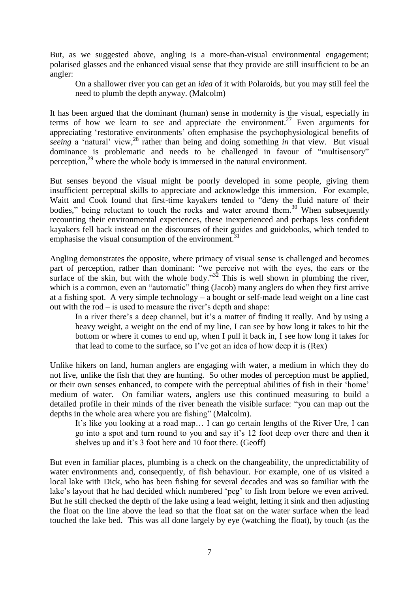But, as we suggested above, angling is a more-than-visual environmental engagement; polarised glasses and the enhanced visual sense that they provide are still insufficient to be an angler:

On a shallower river you can get an *idea* of it with Polaroids, but you may still feel the need to plumb the depth anyway. (Malcolm)

It has been argued that the dominant (human) sense in modernity is the visual, especially in terms of how we learn to see and appreciate the environment.<sup>27</sup> Even arguments for appreciating "restorative environments" often emphasise the psychophysiological benefits of *seeing* a 'natural' view,<sup>28</sup> rather than being and doing something *in* that view. But visual dominance is problematic and needs to be challenged in favour of "multisensory" perception,<sup>29</sup> where the whole body is immersed in the natural environment.

But senses beyond the visual might be poorly developed in some people, giving them insufficient perceptual skills to appreciate and acknowledge this immersion. For example, Waitt and Cook found that first-time kayakers tended to "deny the fluid nature of their bodies," being reluctant to touch the rocks and water around them.<sup>30</sup> When subsequently recounting their environmental experiences, these inexperienced and perhaps less confident kayakers fell back instead on the discourses of their guides and guidebooks, which tended to emphasise the visual consumption of the environment.<sup>31</sup>

Angling demonstrates the opposite, where primacy of visual sense is challenged and becomes part of perception, rather than dominant: "we perceive not with the eyes, the ears or the surface of the skin, but with the whole body."<sup>32</sup> This is well shown in plumbing the river, which is a common, even an "automatic" thing (Jacob) many anglers do when they first arrive at a fishing spot. A very simple technology – a bought or self-made lead weight on a line cast out with the rod  $-$  is used to measure the river's depth and shape:

In a river there's a deep channel, but it's a matter of finding it really. And by using a heavy weight, a weight on the end of my line, I can see by how long it takes to hit the bottom or where it comes to end up, when I pull it back in, I see how long it takes for that lead to come to the surface, so I"ve got an idea of how deep it is (Rex)

Unlike hikers on land, human anglers are engaging with water, a medium in which they do not live, unlike the fish that they are hunting. So other modes of perception must be applied, or their own senses enhanced, to compete with the perceptual abilities of fish in their "home" medium of water. On familiar waters, anglers use this continued measuring to build a detailed profile in their minds of the river beneath the visible surface: "you can map out the depths in the whole area where you are fishing" (Malcolm).

It's like you looking at a road map... I can go certain lengths of the River Ure, I can go into a spot and turn round to you and say it"s 12 foot deep over there and then it shelves up and it's 3 foot here and 10 foot there. (Geoff)

But even in familiar places, plumbing is a check on the changeability, the unpredictability of water environments and, consequently, of fish behaviour. For example, one of us visited a local lake with Dick, who has been fishing for several decades and was so familiar with the lake's layout that he had decided which numbered 'peg' to fish from before we even arrived. But he still checked the depth of the lake using a lead weight, letting it sink and then adjusting the float on the line above the lead so that the float sat on the water surface when the lead touched the lake bed. This was all done largely by eye (watching the float), by touch (as the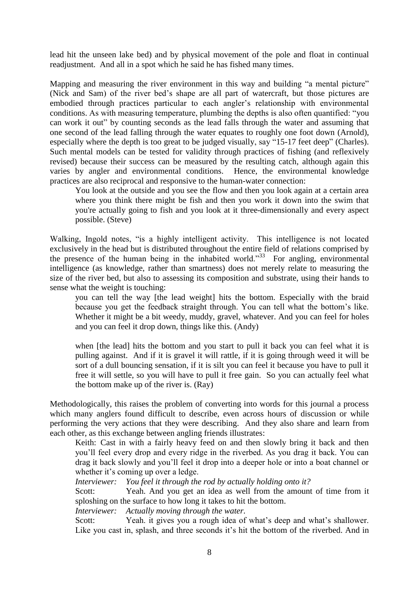lead hit the unseen lake bed) and by physical movement of the pole and float in continual readjustment. And all in a spot which he said he has fished many times.

Mapping and measuring the river environment in this way and building "a mental picture" (Nick and Sam) of the river bed"s shape are all part of watercraft, but those pictures are embodied through practices particular to each angler's relationship with environmental conditions. As with measuring temperature, plumbing the depths is also often quantified: "you can work it out" by counting seconds as the lead falls through the water and assuming that one second of the lead falling through the water equates to roughly one foot down (Arnold), especially where the depth is too great to be judged visually, say "15-17 feet deep" (Charles). Such mental models can be tested for validity through practices of fishing (and reflexively revised) because their success can be measured by the resulting catch, although again this varies by angler and environmental conditions. Hence, the environmental knowledge practices are also reciprocal and responsive to the human-water connection:

You look at the outside and you see the flow and then you look again at a certain area where you think there might be fish and then you work it down into the swim that you're actually going to fish and you look at it three-dimensionally and every aspect possible. (Steve)

Walking, Ingold notes, "is a highly intelligent activity. This intelligence is not located exclusively in the head but is distributed throughout the entire field of relations comprised by the presence of the human being in the inhabited world."<sup>33</sup> For angling, environmental intelligence (as knowledge, rather than smartness) does not merely relate to measuring the size of the river bed, but also to assessing its composition and substrate, using their hands to sense what the weight is touching:

you can tell the way [the lead weight] hits the bottom. Especially with the braid because you get the feedback straight through. You can tell what the bottom"s like. Whether it might be a bit weedy, muddy, gravel, whatever. And you can feel for holes and you can feel it drop down, things like this. (Andy)

when [the lead] hits the bottom and you start to pull it back you can feel what it is pulling against. And if it is gravel it will rattle, if it is going through weed it will be sort of a dull bouncing sensation, if it is silt you can feel it because you have to pull it free it will settle, so you will have to pull it free gain. So you can actually feel what the bottom make up of the river is. (Ray)

Methodologically, this raises the problem of converting into words for this journal a process which many anglers found difficult to describe, even across hours of discussion or while performing the very actions that they were describing. And they also share and learn from each other, as this exchange between angling friends illustrates:

Keith: Cast in with a fairly heavy feed on and then slowly bring it back and then you"ll feel every drop and every ridge in the riverbed. As you drag it back. You can drag it back slowly and you"ll feel it drop into a deeper hole or into a boat channel or whether it's coming up over a ledge.

*Interviewer: You feel it through the rod by actually holding onto it?*

Scott: Yeah. And you get an idea as well from the amount of time from it sploshing on the surface to how long it takes to hit the bottom.

*Interviewer: Actually moving through the water.*

Scott: Yeah. it gives you a rough idea of what's deep and what's shallower. Like you cast in, splash, and three seconds it's hit the bottom of the riverbed. And in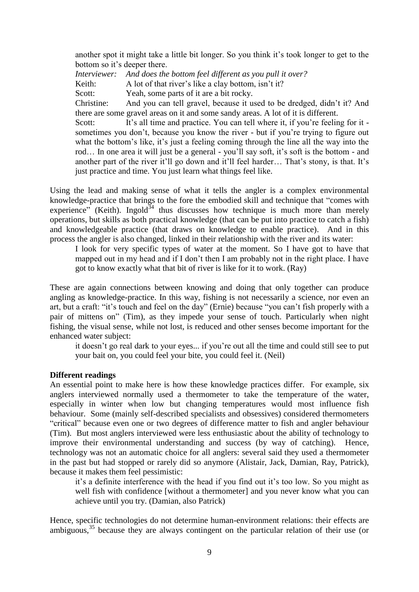another spot it might take a little bit longer. So you think it"s took longer to get to the bottom so it's deeper there.

*Interviewer: And does the bottom feel different as you pull it over?* Keith: A lot of that river's like a clay bottom, isn't it? Scott: Yeah, some parts of it are a bit rocky.

Christine: And you can tell gravel, because it used to be dredged, didn"t it? And there are some gravel areas on it and some sandy areas. A lot of it is different.

Scott: It's all time and practice. You can tell where it, if you're feeling for it sometimes you don't, because you know the river - but if you're trying to figure out what the bottom's like, it's just a feeling coming through the line all the way into the rod... In one area it will just be a general - you'll say soft, it's soft is the bottom - and another part of the river it'll go down and it'll feel harder... That's stony, is that. It's just practice and time. You just learn what things feel like.

Using the lead and making sense of what it tells the angler is a complex environmental knowledge-practice that brings to the fore the embodied skill and technique that "comes with experience" (Keith). Ingold<sup>34</sup> thus discusses how technique is much more than merely operations, but skills as both practical knowledge (that can be put into practice to catch a fish) and knowledgeable practice (that draws on knowledge to enable practice). And in this process the angler is also changed, linked in their relationship with the river and its water:

I look for very specific types of water at the moment. So I have got to have that mapped out in my head and if I don"t then I am probably not in the right place. I have got to know exactly what that bit of river is like for it to work. (Ray)

These are again connections between knowing and doing that only together can produce angling as knowledge-practice. In this way, fishing is not necessarily a science, nor even an art, but a craft: "it's touch and feel on the day" (Ernie) because "you can't fish properly with a pair of mittens on" (Tim), as they impede your sense of touch. Particularly when night fishing, the visual sense, while not lost, is reduced and other senses become important for the enhanced water subject:

it doesn"t go real dark to your eyes... if you"re out all the time and could still see to put your bait on, you could feel your bite, you could feel it. (Neil)

#### **Different readings**

An essential point to make here is how these knowledge practices differ. For example, six anglers interviewed normally used a thermometer to take the temperature of the water, especially in winter when low but changing temperatures would most influence fish behaviour. Some (mainly self-described specialists and obsessives) considered thermometers "critical" because even one or two degrees of difference matter to fish and angler behaviour (Tim). But most anglers interviewed were less enthusiastic about the ability of technology to improve their environmental understanding and success (by way of catching). Hence, technology was not an automatic choice for all anglers: several said they used a thermometer in the past but had stopped or rarely did so anymore (Alistair, Jack, Damian, Ray, Patrick), because it makes them feel pessimistic:

it's a definite interference with the head if you find out it's too low. So you might as well fish with confidence [without a thermometer] and you never know what you can achieve until you try. (Damian, also Patrick)

Hence, specific technologies do not determine human-environment relations: their effects are ambiguous, $35$  because they are always contingent on the particular relation of their use (or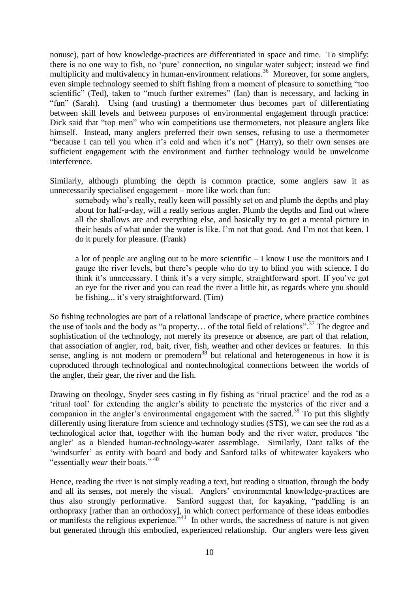nonuse), part of how knowledge-practices are differentiated in space and time. To simplify: there is no one way to fish, no "pure" connection, no singular water subject; instead we find multiplicity and multivalency in human-environment relations.<sup>36</sup> Moreover, for some anglers, even simple technology seemed to shift fishing from a moment of pleasure to something "too scientific" (Ted), taken to "much further extremes" (Ian) than is necessary, and lacking in "fun" (Sarah). Using (and trusting) a thermometer thus becomes part of differentiating between skill levels and between purposes of environmental engagement through practice: Dick said that "top men" who win competitions use thermometers, not pleasure anglers like himself. Instead, many anglers preferred their own senses, refusing to use a thermometer "because I can tell you when it's cold and when it's not" (Harry), so their own senses are sufficient engagement with the environment and further technology would be unwelcome interference.

Similarly, although plumbing the depth is common practice, some anglers saw it as unnecessarily specialised engagement – more like work than fun:

somebody who's really, really keen will possibly set on and plumb the depths and play about for half-a-day, will a really serious angler. Plumb the depths and find out where all the shallows are and everything else, and basically try to get a mental picture in their heads of what under the water is like. I"m not that good. And I"m not that keen. I do it purely for pleasure. (Frank)

a lot of people are angling out to be more scientific – I know I use the monitors and I gauge the river levels, but there"s people who do try to blind you with science. I do think it's unnecessary. I think it's a very simple, straightforward sport. If you've got an eye for the river and you can read the river a little bit, as regards where you should be fishing... it's very straightforward. (Tim)

So fishing technologies are part of a relational landscape of practice, where practice combines the use of tools and the body as "a property... of the total field of relations".<sup>37</sup> The degree and sophistication of the technology, not merely its presence or absence, are part of that relation, that association of angler, rod, bait, river, fish, weather and other devices or features. In this sense, angling is not modern or premodern<sup>38</sup> but relational and heterogeneous in how it is coproduced through technological and nontechnological connections between the worlds of the angler, their gear, the river and the fish.

Drawing on theology, Snyder sees casting in fly fishing as 'ritual practice' and the rod as a "ritual tool" for extending the angler"s ability to penetrate the mysteries of the river and a companion in the angler's environmental engagement with the sacred.<sup>39</sup> To put this slightly differently using literature from science and technology studies (STS), we can see the rod as a technological actor that, together with the human body and the river water, produces "the angler" as a blended human-technology-water assemblage. Similarly, Dant talks of the 'windsurfer' as entity with board and body and Sanford talks of whitewater kayakers who "essentially *wear* their boats." <sup>40</sup>

Hence, reading the river is not simply reading a text, but reading a situation, through the body and all its senses, not merely the visual. Anglers' environmental knowledge-practices are thus also strongly performative. Sanford suggest that, for kayaking, "paddling is an orthopraxy [rather than an orthodoxy], in which correct performance of these ideas embodies or manifests the religious experience.<sup> $1$ </sup> In other words, the sacredness of nature is not given but generated through this embodied, experienced relationship. Our anglers were less given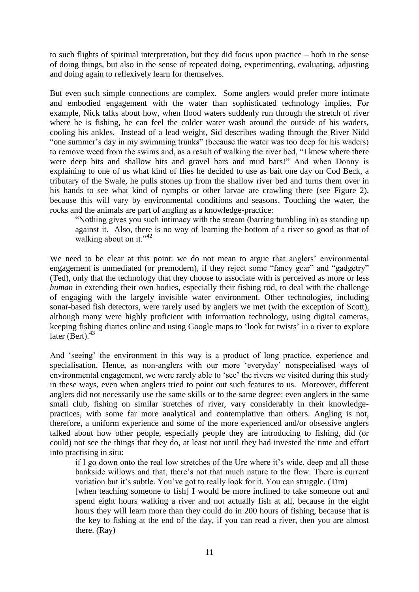to such flights of spiritual interpretation, but they did focus upon practice – both in the sense of doing things, but also in the sense of repeated doing, experimenting, evaluating, adjusting and doing again to reflexively learn for themselves.

But even such simple connections are complex. Some anglers would prefer more intimate and embodied engagement with the water than sophisticated technology implies. For example, Nick talks about how, when flood waters suddenly run through the stretch of river where he is fishing, he can feel the colder water wash around the outside of his waders, cooling his ankles. Instead of a lead weight, Sid describes wading through the River Nidd "one summer's day in my swimming trunks" (because the water was too deep for his waders) to remove weed from the swims and, as a result of walking the river bed, "I knew where there were deep bits and shallow bits and gravel bars and mud bars!" And when Donny is explaining to one of us what kind of flies he decided to use as bait one day on Cod Beck, a tributary of the Swale, he pulls stones up from the shallow river bed and turns them over in his hands to see what kind of nymphs or other larvae are crawling there (see Figure 2), because this will vary by environmental conditions and seasons. Touching the water, the rocks and the animals are part of angling as a knowledge-practice:

"Nothing gives you such intimacy with the stream (barring tumbling in) as standing up against it. Also, there is no way of learning the bottom of a river so good as that of walking about on it."<sup>42</sup>

We need to be clear at this point: we do not mean to argue that anglers' environmental engagement is unmediated (or premodern), if they reject some "fancy gear" and "gadgetry" (Ted), only that the technology that they choose to associate with is perceived as more or less *human* in extending their own bodies, especially their fishing rod, to deal with the challenge of engaging with the largely invisible water environment. Other technologies, including sonar-based fish detectors, were rarely used by anglers we met (with the exception of Scott), although many were highly proficient with information technology, using digital cameras, keeping fishing diaries online and using Google maps to "look for twists" in a river to explore later (Bert). $43$ 

And 'seeing' the environment in this way is a product of long practice, experience and specialisation. Hence, as non-anglers with our more "everyday" nonspecialised ways of environmental engagement, we were rarely able to "see" the rivers we visited during this study in these ways, even when anglers tried to point out such features to us. Moreover, different anglers did not necessarily use the same skills or to the same degree: even anglers in the same small club, fishing on similar stretches of river, vary considerably in their knowledgepractices, with some far more analytical and contemplative than others. Angling is not, therefore, a uniform experience and some of the more experienced and/or obsessive anglers talked about how other people, especially people they are introducing to fishing, did (or could) not see the things that they do, at least not until they had invested the time and effort into practising in situ:

if I go down onto the real low stretches of the Ure where it"s wide, deep and all those bankside willows and that, there"s not that much nature to the flow. There is current variation but it"s subtle. You"ve got to really look for it. You can struggle. (Tim)

[when teaching someone to fish] I would be more inclined to take someone out and spend eight hours walking a river and not actually fish at all, because in the eight hours they will learn more than they could do in 200 hours of fishing, because that is the key to fishing at the end of the day, if you can read a river, then you are almost there. (Ray)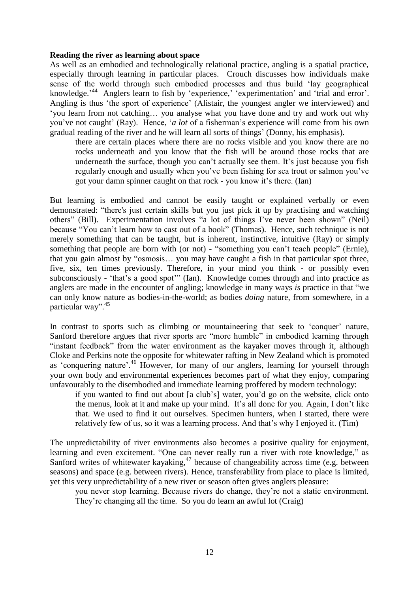#### **Reading the river as learning about space**

As well as an embodied and technologically relational practice, angling is a spatial practice, especially through learning in particular places. Crouch discusses how individuals make sense of the world through such embodied processes and thus build "lay geographical knowledge.<sup>244</sup> Anglers learn to fish by 'experience,' 'experimentation' and 'trial and error'. Angling is thus "the sport of experience" (Alistair, the youngest angler we interviewed) and "you learn from not catching… you analyse what you have done and try and work out why you"ve not caught" (Ray). Hence, "*a lot* of a fisherman"s experience will come from his own gradual reading of the river and he will learn all sorts of things" (Donny, his emphasis).

there are certain places where there are no rocks visible and you know there are no rocks underneath and you know that the fish will be around those rocks that are underneath the surface, though you can't actually see them. It's just because you fish regularly enough and usually when you've been fishing for sea trout or salmon you've got your damn spinner caught on that rock - you know it"s there. (Ian)

But learning is embodied and cannot be easily taught or explained verbally or even demonstrated: "there's just certain skills but you just pick it up by practising and watching others" (Bill). Experimentation involves "a lot of things I"ve never been shown" (Neil) because "You can"t learn how to cast out of a book" (Thomas). Hence, such technique is not merely something that can be taught, but is inherent, instinctive, intuitive (Ray) or simply something that people are born with (or not) - "something you can't teach people" (Ernie), that you gain almost by "osmosis… you may have caught a fish in that particular spot three, five, six, ten times previously. Therefore, in your mind you think - or possibly even subconsciously - 'that's a good spot'" (Ian). Knowledge comes through and into practice as anglers are made in the encounter of angling; knowledge in many ways *is* practice in that "we can only know nature as bodies-in-the-world; as bodies *doing* nature, from somewhere, in a particular way". 45

In contrast to sports such as climbing or mountaineering that seek to 'conquer' nature, Sanford therefore argues that river sports are "more humble" in embodied learning through "instant feedback" from the water environment as the kayaker moves through it, although Cloke and Perkins note the opposite for whitewater rafting in New Zealand which is promoted as 'conquering nature'.<sup>46</sup> However, for many of our anglers, learning for yourself through your own body and environmental experiences becomes part of what they enjoy, comparing unfavourably to the disembodied and immediate learning proffered by modern technology:

if you wanted to find out about [a club"s] water, you"d go on the website, click onto the menus, look at it and make up your mind. It's all done for you. Again, I don't like that. We used to find it out ourselves. Specimen hunters, when I started, there were relatively few of us, so it was a learning process. And that's why I enjoyed it. (Tim)

The unpredictability of river environments also becomes a positive quality for enjoyment, learning and even excitement. "One can never really run a river with rote knowledge," as Sanford writes of whitewater kayaking,<sup>47</sup> because of changeability across time (e.g. between seasons) and space (e.g. between rivers). Hence, transferability from place to place is limited, yet this very unpredictability of a new river or season often gives anglers pleasure:

you never stop learning. Because rivers do change, they"re not a static environment. They"re changing all the time. So you do learn an awful lot (Craig)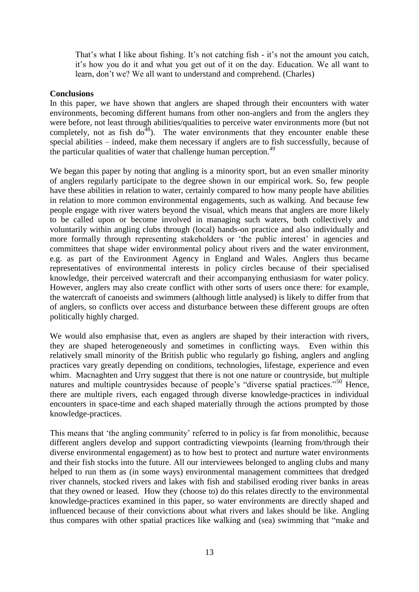That's what I like about fishing. It's not catching fish - it's not the amount you catch, it"s how you do it and what you get out of it on the day. Education. We all want to learn, don"t we? We all want to understand and comprehend. (Charles)

#### **Conclusions**

In this paper, we have shown that anglers are shaped through their encounters with water environments, becoming different humans from other non-anglers and from the anglers they were before, not least through abilities/qualities to perceive water environments more (but not completely, not as fish  $d\sigma^{48}$ ). The water environments that they encounter enable these special abilities – indeed, make them necessary if anglers are to fish successfully, because of the particular qualities of water that challenge human perception.<sup>49</sup>

We began this paper by noting that angling is a minority sport, but an even smaller minority of anglers regularly participate to the degree shown in our empirical work. So, few people have these abilities in relation to water, certainly compared to how many people have abilities in relation to more common environmental engagements, such as walking. And because few people engage with river waters beyond the visual, which means that anglers are more likely to be called upon or become involved in managing such waters, both collectively and voluntarily within angling clubs through (local) hands-on practice and also individually and more formally through representing stakeholders or 'the public interest' in agencies and committees that shape wider environmental policy about rivers and the water environment, e.g. as part of the Environment Agency in England and Wales. Anglers thus became representatives of environmental interests in policy circles because of their specialised knowledge, their perceived watercraft and their accompanying enthusiasm for water policy. However, anglers may also create conflict with other sorts of users once there: for example, the watercraft of canoeists and swimmers (although little analysed) is likely to differ from that of anglers, so conflicts over access and disturbance between these different groups are often politically highly charged.

We would also emphasise that, even as anglers are shaped by their interaction with rivers, they are shaped heterogeneously and sometimes in conflicting ways. Even within this relatively small minority of the British public who regularly go fishing, anglers and angling practices vary greatly depending on conditions, technologies, lifestage, experience and even whim. Macnaghten and Urry suggest that there is not one nature or countryside, but multiple natures and multiple countrysides because of people's "diverse spatial practices."<sup>50</sup> Hence, there are multiple rivers, each engaged through diverse knowledge-practices in individual encounters in space-time and each shaped materially through the actions prompted by those knowledge-practices.

This means that 'the angling community' referred to in policy is far from monolithic, because different anglers develop and support contradicting viewpoints (learning from/through their diverse environmental engagement) as to how best to protect and nurture water environments and their fish stocks into the future. All our interviewees belonged to angling clubs and many helped to run them as (in some ways) environmental management committees that dredged river channels, stocked rivers and lakes with fish and stabilised eroding river banks in areas that they owned or leased. How they (choose to) do this relates directly to the environmental knowledge-practices examined in this paper, so water environments are directly shaped and influenced because of their convictions about what rivers and lakes should be like. Angling thus compares with other spatial practices like walking and (sea) swimming that "make and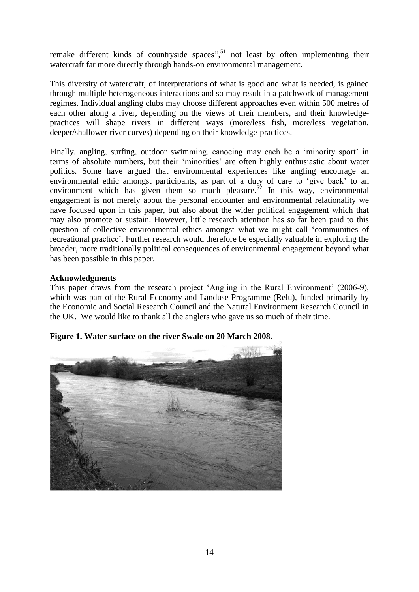remake different kinds of countryside spaces", not least by often implementing their watercraft far more directly through hands-on environmental management.

This diversity of watercraft, of interpretations of what is good and what is needed, is gained through multiple heterogeneous interactions and so may result in a patchwork of management regimes. Individual angling clubs may choose different approaches even within 500 metres of each other along a river, depending on the views of their members, and their knowledgepractices will shape rivers in different ways (more/less fish, more/less vegetation, deeper/shallower river curves) depending on their knowledge-practices.

Finally, angling, surfing, outdoor swimming, canoeing may each be a 'minority sport' in terms of absolute numbers, but their "minorities" are often highly enthusiastic about water politics. Some have argued that environmental experiences like angling encourage an environmental ethic amongst participants, as part of a duty of care to "give back" to an environment which has given them so much pleasure.<sup>52</sup> In this way, environmental engagement is not merely about the personal encounter and environmental relationality we have focused upon in this paper, but also about the wider political engagement which that may also promote or sustain. However, little research attention has so far been paid to this question of collective environmental ethics amongst what we might call "communities of recreational practice". Further research would therefore be especially valuable in exploring the broader, more traditionally political consequences of environmental engagement beyond what has been possible in this paper.

# **Acknowledgments**

This paper draws from the research project 'Angling in the Rural Environment' (2006-9), which was part of the Rural Economy and Landuse Programme (Relu), funded primarily by the Economic and Social Research Council and the Natural Environment Research Council in the UK. We would like to thank all the anglers who gave us so much of their time.



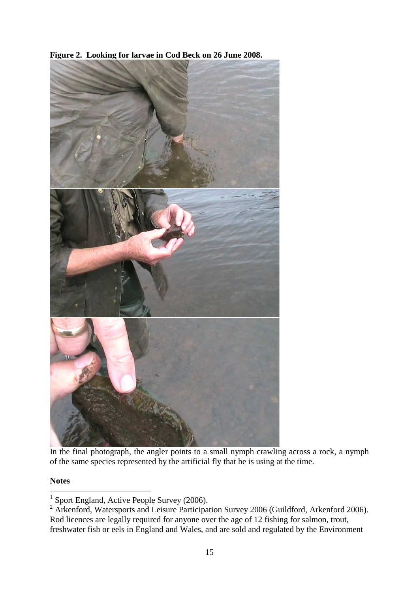

**Figure 2. Looking for larvae in Cod Beck on 26 June 2008.**

In the final photograph, the angler points to a small nymph crawling across a rock, a nymph of the same species represented by the artificial fly that he is using at the time.

# **Notes**

<sup>&</sup>lt;sup>1</sup> Sport England, Active People Survey (2006).

 $2^2$  Arkenford, Watersports and Leisure Participation Survey 2006 (Guildford, Arkenford 2006). Rod licences are legally required for anyone over the age of 12 fishing for salmon, trout, freshwater fish or eels in England and Wales, and are sold and regulated by the Environment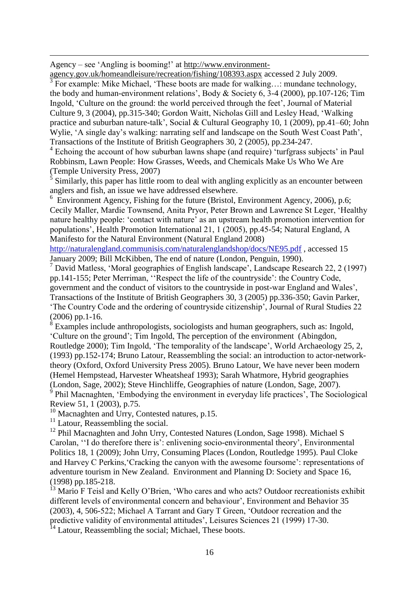Agency – see "Angling is booming!" at [http://www.environment-](http://www.environment-agency.gov.uk/homeandleisure/recreation/fishing/108393.aspx)

 $\overline{a}$ 

[agency.gov.uk/homeandleisure/recreation/fishing/108393.aspx](http://www.environment-agency.gov.uk/homeandleisure/recreation/fishing/108393.aspx) accessed 2 July 2009. <sup>3</sup> For example: Mike Michael, 'These boots are made for walking...: mundane technology, the body and human-environment relations", Body & Society 6, 3-4 (2000), pp.107-126; Tim Ingold, 'Culture on the ground: the world perceived through the feet', Journal of Material Culture 9, 3 (2004), pp.315-340; Gordon Waitt, Nicholas Gill and Lesley Head, "Walking practice and suburban nature-talk", Social & Cultural Geography 10, 1 (2009), pp.41–60; John Wylie, 'A single day's walking: narrating self and landscape on the South West Coast Path', Transactions of the Institute of British Geographers 30, 2 (2005), pp.234-247.

<sup>4</sup> Echoing the account of how suburban lawns shape (and require) 'turfgrass subjects' in Paul Robbinsm, Lawn People: How Grasses, Weeds, and Chemicals Make Us Who We Are (Temple University Press, 2007)

 $\frac{5}{5}$  Similarly, this paper has little room to deal with angling explicitly as an encounter between anglers and fish, an issue we have addressed elsewhere.

<sup>6</sup> Environment Agency, Fishing for the future (Bristol, Environment Agency, 2006), p.6; Cecily Maller, Mardie Townsend, Anita Pryor, Peter Brown and Lawrence St Leger, "Healthy nature healthy people: 'contact with nature' as an upstream health promotion intervention for populations", Health Promotion International 21, 1 (2005), pp.45-54; Natural England, A Manifesto for the Natural Environment (Natural England 2008)

<http://naturalengland.communisis.com/naturalenglandshop/docs/NE95.pdf> , accessed 15 January 2009; Bill McKibben, The end of nature (London, Penguin, 1990).

 $<sup>7</sup>$  David Matless, 'Moral geographies of English landscape', Landscape Research 22, 2 (1997)</sup> pp.141-155; Peter Merriman, ""Respect the life of the countryside": the Country Code, government and the conduct of visitors to the countryside in post-war England and Wales", Transactions of the Institute of British Geographers 30, 3 (2005) pp.336-350; Gavin Parker, "The Country Code and the ordering of countryside citizenship", Journal of Rural Studies 22 (2006) pp.1-16.

 $8 \overline{\text{Examples}}$  include anthropologists, sociologists and human geographers, such as: Ingold, "Culture on the ground"; Tim Ingold, The perception of the environment (Abingdon,

Routledge 2000); Tim Ingold, 'The temporality of the landscape', World Archaeology 25, 2, (1993) pp.152-174; Bruno Latour, Reassembling the social: an introduction to actor-networktheory (Oxford, Oxford University Press 2005). Bruno Latour, We have never been modern (Hemel Hempstead, Harvester Wheatsheaf 1993); Sarah Whatmore, Hybrid geographies (London, Sage, 2002); Steve Hinchliffe, Geographies of nature (London, Sage, 2007).

<sup>9</sup> Phil Macnaghten, 'Embodying the environment in everyday life practices', The Sociological Review 51, 1 (2003), p.75.

<sup>10</sup> Macnaghten and Urry, Contested natures, p.15.

 $11$  Latour, Reassembling the social.

 $12$  Phil Macnaghten and John Urry, Contested Natures (London, Sage 1998). Michael S Carolan, "I do therefore there is": enlivening socio-environmental theory', Environmental Politics 18, 1 (2009); John Urry, Consuming Places (London, Routledge 1995). Paul Cloke and Harvey C Perkins, Cracking the canyon with the awesome foursome': representations of adventure tourism in New Zealand. Environment and Planning D: Society and Space 16, (1998) pp.185-218.

<sup>13</sup> Mario F Teisl and Kelly O'Brien, 'Who cares and who acts? Outdoor recreationists exhibit different levels of environmental concern and behaviour', Environment and Behavior 35 (2003), 4, 506-522; Michael A Tarrant and Gary T Green, "Outdoor recreation and the predictive validity of environmental attitudes", Leisures Sciences 21 (1999) 17-30.

<sup>14</sup> Latour, Reassembling the social; Michael, These boots.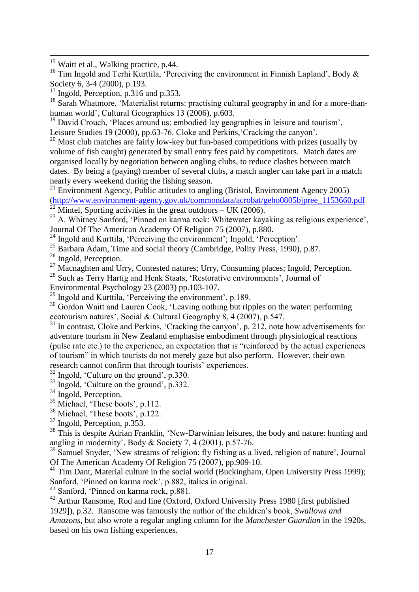<sup>15</sup> Waitt et al., Walking practice, p.44.

 $\overline{a}$ 

<sup>16</sup> Tim Ingold and Terhi Kurttila, 'Perceiving the environment in Finnish Lapland', Body & Society 6, 3-4 (2000), p.193.

 $^{17}$  Ingold, Perception, p.316 and p.353.

<sup>18</sup> Sarah Whatmore, 'Materialist returns: practising cultural geography in and for a more-thanhuman world", Cultural Geographies 13 (2006), p.603.

<sup>19</sup> David Crouch, 'Places around us: embodied lay geographies in leisure and tourism', Leisure Studies 19 (2000), pp.63-76. Cloke and Perkins, Cracking the canyon'.

 $20$  Most club matches are fairly low-key but fun-based competitions with prizes (usually by volume of fish caught) generated by small entry fees paid by competitors. Match dates are organised locally by negotiation between angling clubs, to reduce clashes between match dates. By being a (paying) member of several clubs, a match angler can take part in a match nearly every weekend during the fishing season.

<sup>21</sup> Environment Agency, Public attitudes to angling (Bristol, Environment Agency 2005) [\(http://www.environment-agency.gov.uk/commondata/acrobat/geho0805bjpree\\_1153660.pdf](http://www.environment-agency.gov.uk/commondata/acrobat/geho0805bjpree_1153660.pdf)

 $^{22}$  Mintel, Sporting activities in the great outdoors – UK (2006).

<sup>23</sup> A. Whitney Sanford, 'Pinned on karma rock: Whitewater kayaking as religious experience', Journal Of The American Academy Of Religion 75 (2007), p.880.

 $^{24}$  Ingold and Kurttila, 'Perceiving the environment'; Ingold, 'Perception'.

<sup>25</sup> Barbara Adam, Time and social theory (Cambridge, Polity Press, 1990), p.87.

<sup>26</sup> Ingold, Perception.

<sup>27</sup> Macnaghten and Urry, Contested natures; Urry, Consuming places; Ingold, Perception.

<sup>28</sup> Such as Terry Hartig and Henk Staats, 'Restorative environments', Journal of Environmental Psychology 23 (2003) pp.103-107.

 $29$  Ingold and Kurttila, 'Perceiving the environment', p.189.

 $30$  Gordon Waitt and Lauren Cook, 'Leaving nothing but ripples on the water: performing ecotourism natures', Social & Cultural Geography  $\overline{8}$ , 4 (2007), p.547.

 $31$  In contrast, Cloke and Perkins, 'Cracking the canyon', p. 212, note how advertisements for adventure tourism in New Zealand emphasise embodiment through physiological reactions (pulse rate etc.) to the experience, an expectation that is "reinforced by the actual experiences of tourism" in which tourists do not merely gaze but also perform. However, their own research cannot confirm that through tourists' experiences.

 $32$  Ingold, 'Culture on the ground', p.330.

<sup>33</sup> Ingold, 'Culture on the ground', p.332.

<sup>34</sup> Ingold, Perception.

<sup>35</sup> Michael, 'These boots', p.112.

 $36$  Michael, 'These boots', p.122.

<sup>37</sup> Ingold, Perception, p.353.

<sup>38</sup> This is despite Adrian Franklin, 'New-Darwinian leisures, the body and nature: hunting and angling in modernity', Body & Society 7, 4 (2001), p.57-76.

<sup>39</sup> Samuel Snyder, 'New streams of religion: fly fishing as a lived, religion of nature', Journal Of The American Academy Of Religion 75 (2007), pp.909-10.

 $^{40}$  Tim Dant, Material culture in the social world (Buckingham, Open University Press 1999); Sanford, 'Pinned on karma rock', p.882, italics in original.

<sup>41</sup> Sanford, "Pinned on karma rock, p.881.

<sup>42</sup> Arthur Ransome, Rod and line (Oxford, Oxford University Press 1980 [first published] 1929]), p.32. Ransome was famously the author of the children"s book, *Swallows and Amazons*, but also wrote a regular angling column for the *Manchester Guardian* in the 1920s, based on his own fishing experiences.